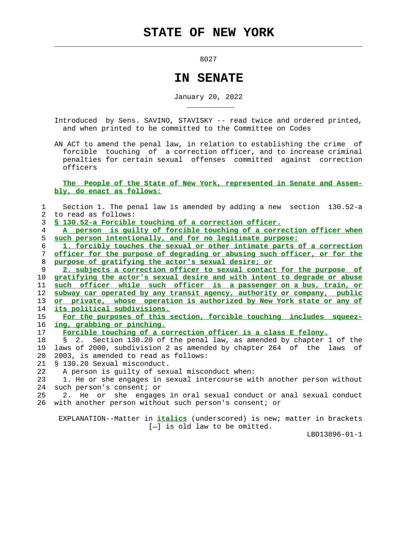$\mathcal{L}_\text{max} = \frac{1}{2} \sum_{i=1}^{n} \frac{1}{2} \sum_{i=1}^{n} \frac{1}{2} \sum_{i=1}^{n} \frac{1}{2} \sum_{i=1}^{n} \frac{1}{2} \sum_{i=1}^{n} \frac{1}{2} \sum_{i=1}^{n} \frac{1}{2} \sum_{i=1}^{n} \frac{1}{2} \sum_{i=1}^{n} \frac{1}{2} \sum_{i=1}^{n} \frac{1}{2} \sum_{i=1}^{n} \frac{1}{2} \sum_{i=1}^{n} \frac{1}{2} \sum_{i=1}^{n} \frac{1$ 

\_\_\_\_\_\_\_\_\_\_\_

8027

## **IN SENATE**

January 20, 2022

 Introduced by Sens. SAVINO, STAVISKY -- read twice and ordered printed, and when printed to be committed to the Committee on Codes

 AN ACT to amend the penal law, in relation to establishing the crime of forcible touching of a correction officer, and to increase criminal penalties for certain sexual offenses committed against correction officers

 **The People of the State of New York, represented in Senate and Assem bly, do enact as follows:**

| 1           | Section 1. The penal law is amended by adding a new section 130.52-a                                              |
|-------------|-------------------------------------------------------------------------------------------------------------------|
| $2^{\circ}$ | to read as follows:                                                                                               |
| 3           | § 130.52-a Forcible touching of a correction officer.                                                             |
| 4           | A person is guilty of forcible touching of a correction officer when                                              |
| 5           | such person intentionally, and for no legitimate purpose:                                                         |
| 6           | 1. forcibly touches the sexual or other intimate parts of a correction                                            |
| 7           | officer for the purpose of degrading or abusing such officer, or for the                                          |
| 8           | purpose of gratifying the actor's sexual desire; or                                                               |
| 9           | 2. subjects a correction officer to sexual contact for the purpose of                                             |
| 10          | gratifying the actor's sexual desire and with intent to degrade or abuse                                          |
| 11          | such officer while such officer is a passenger on a bus, train, or                                                |
| 12          | subway car operated by any transit agency, authority or company, public                                           |
| 13          | or private, whose operation is authorized by New York state or any of                                             |
| 14          | its political subdivisions.                                                                                       |
| 15          | For the purposes of this section, forcible touching includes squeez-                                              |
| 16          | ing, grabbing or pinching.                                                                                        |
| 17          | Forcible touching of a correction officer is a class E felony.                                                    |
| 18          | Section 130.20 of the penal law, as amended by chapter 1 of the<br>2 <sup>1</sup><br>$\mathcal{S}$                |
| 19          | laws of 2000, subdivision 2 as amended by chapter 264 of the laws of                                              |
| 20          | 2003, is amended to read as follows:                                                                              |
| 21          | \$ 130.20 Sexual misconduct.                                                                                      |
| 22          | A person is guilty of sexual misconduct when:                                                                     |
| 23          | 1. He or she engages in sexual intercourse with another person without                                            |
| 24          | such person's consent; or                                                                                         |
| 25          | 2. He or she engages in oral sexual conduct or anal sexual conduct                                                |
| 26          | with another person without such person's consent; or                                                             |
|             | EXPLANATION--Matter in <i>italics</i> (underscored) is new; matter in brackets<br>$[-]$ is old law to be omitted. |

LBD13896-01-1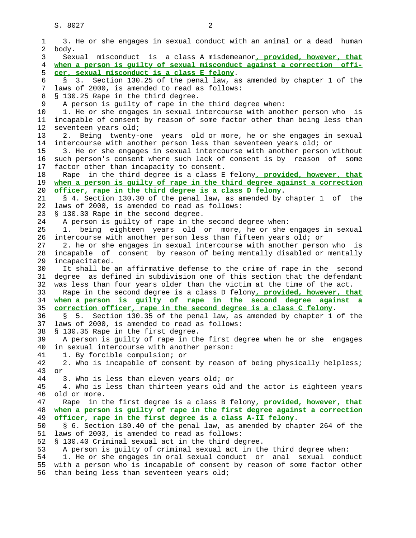1 3. He or she engages in sexual conduct with an animal or a dead human 2 body. 3 Sexual misconduct is a class A misdemeanor**, provided, however, that** 4 **when a person is guilty of sexual misconduct against a correction offi-** 5 **cer, sexual misconduct is a class E felony**. 6 § 3. Section 130.25 of the penal law, as amended by chapter 1 of the 7 laws of 2000, is amended to read as follows: 8 § 130.25 Rape in the third degree. 9 A person is guilty of rape in the third degree when: 10 1. He or she engages in sexual intercourse with another person who is 11 incapable of consent by reason of some factor other than being less than 12 seventeen years old; 13 2. Being twenty-one years old or more, he or she engages in sexual 14 intercourse with another person less than seventeen years old; or 15 3. He or she engages in sexual intercourse with another person without 16 such person's consent where such lack of consent is by reason of some 17 factor other than incapacity to consent. 18 Rape in the third degree is a class E felony**, provided, however, that** 19 **when a person is guilty of rape in the third degree against a correction** 20 **officer, rape in the third degree is a class D felony**. 21 § 4. Section 130.30 of the penal law, as amended by chapter 1 of the 22 laws of 2000, is amended to read as follows: 23 § 130.30 Rape in the second degree. 24 A person is guilty of rape in the second degree when: 25 1. being eighteen years old or more, he or she engages in sexual 26 intercourse with another person less than fifteen years old; or 27 2. he or she engages in sexual intercourse with another person who is 28 incapable of consent by reason of being mentally disabled or mentally 29 incapacitated. 30 It shall be an affirmative defense to the crime of rape in the second 31 degree as defined in subdivision one of this section that the defendant 32 was less than four years older than the victim at the time of the act. 33 Rape in the second degree is a class D felony**, provided, however, that** 34 **when a person is guilty of rape in the second degree against a** 35 **correction officer, rape in the second degree is a class C felony**. 36 § 5. Section 130.35 of the penal law, as amended by chapter 1 of the 37 laws of 2000, is amended to read as follows: 38 § 130.35 Rape in the first degree. 39 A person is guilty of rape in the first degree when he or she engages 40 in sexual intercourse with another person: 41 1. By forcible compulsion; or 42 2. Who is incapable of consent by reason of being physically helpless; 43 or 44 3. Who is less than eleven years old; or 45 4. Who is less than thirteen years old and the actor is eighteen years 46 old or more. 47 Rape in the first degree is a class B felony**, provided, however, that** 48 **when a person is guilty of rape in the first degree against a correction** 49 **officer, rape in the first degree is a class A-II felony**. 50 § 6. Section 130.40 of the penal law, as amended by chapter 264 of the 51 laws of 2003, is amended to read as follows: 52 § 130.40 Criminal sexual act in the third degree. 53 A person is guilty of criminal sexual act in the third degree when: 54 1. He or she engages in oral sexual conduct or anal sexual conduct 55 with a person who is incapable of consent by reason of some factor other 56 than being less than seventeen years old;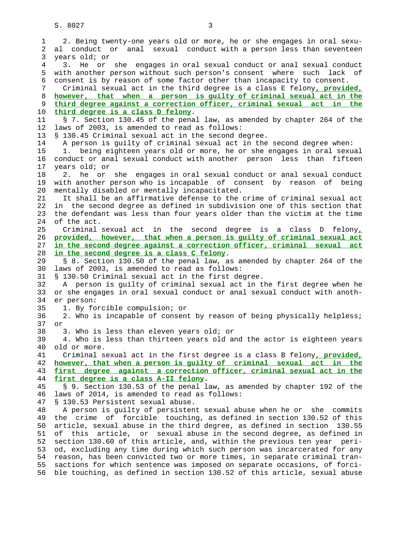S. 8027 3

 1 2. Being twenty-one years old or more, he or she engages in oral sexu- 2 al conduct or anal sexual conduct with a person less than seventeen 3 years old; or 4 3. He or she engages in oral sexual conduct or anal sexual conduct 5 with another person without such person's consent where such lack of 6 consent is by reason of some factor other than incapacity to consent. 7 Criminal sexual act in the third degree is a class E felony**, provided,** 8 **however, that when a person is guilty of criminal sexual act in the** 9 **third degree against a correction officer, criminal sexual act in the** 10 **third degree is a class D felony**. 11 § 7. Section 130.45 of the penal law, as amended by chapter 264 of the 12 laws of 2003, is amended to read as follows: 13 § 130.45 Criminal sexual act in the second degree. 14 A person is guilty of criminal sexual act in the second degree when: 15 1. being eighteen years old or more, he or she engages in oral sexual 16 conduct or anal sexual conduct with another person less than fifteen 17 years old; or 18 2. he or she engages in oral sexual conduct or anal sexual conduct 19 with another person who is incapable of consent by reason of being 20 mentally disabled or mentally incapacitated. 21 It shall be an affirmative defense to the crime of criminal sexual act 22 in the second degree as defined in subdivision one of this section that 23 the defendant was less than four years older than the victim at the time 24 of the act. 25 Criminal sexual act in the second degree is a class D felony**,** 26 **provided, however, that when a person is guilty of criminal sexual act** 27 **in the second degree against a correction officer, criminal sexual act** 28 **in the second degree is a class C felony**. 29 § 8. Section 130.50 of the penal law, as amended by chapter 264 of the 30 laws of 2003, is amended to read as follows: 31 § 130.50 Criminal sexual act in the first degree. 32 A person is guilty of criminal sexual act in the first degree when he 33 or she engages in oral sexual conduct or anal sexual conduct with anoth- 34 er person: 35 1. By forcible compulsion; or 36 2. Who is incapable of consent by reason of being physically helpless; 37 or 38 3. Who is less than eleven years old; or 39 4. Who is less than thirteen years old and the actor is eighteen years 40 old or more. 41 Criminal sexual act in the first degree is a class B felony**, provided,** 42 **however, that when a person is guilty of criminal sexual act in the** 43 **first degree against a correction officer, criminal sexual act in the** 44 **first degree is a class A-II felony**. 45 § 9. Section 130.53 of the penal law, as amended by chapter 192 of the 46 laws of 2014, is amended to read as follows: 47 § 130.53 Persistent sexual abuse. 48 A person is guilty of persistent sexual abuse when he or she commits 49 the crime of forcible touching, as defined in section 130.52 of this 50 article, sexual abuse in the third degree, as defined in section 130.55 51 of this article, or sexual abuse in the second degree, as defined in 52 section 130.60 of this article, and, within the previous ten year peri- 53 od, excluding any time during which such person was incarcerated for any 54 reason, has been convicted two or more times, in separate criminal tran- 55 sactions for which sentence was imposed on separate occasions, of forci- 56 ble touching, as defined in section 130.52 of this article, sexual abuse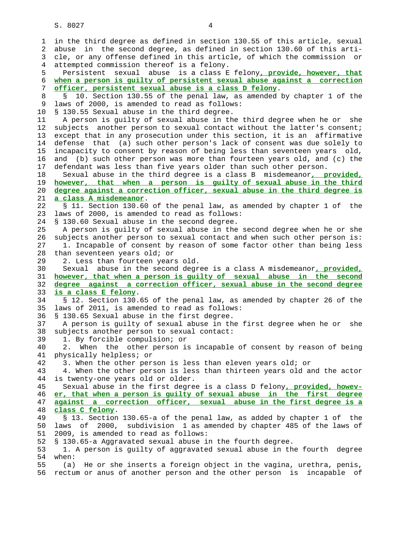1 in the third degree as defined in section 130.55 of this article, sexual 2 abuse in the second degree, as defined in section 130.60 of this arti- 3 cle, or any offense defined in this article, of which the commission or 4 attempted commission thereof is a felony. 5 Persistent sexual abuse is a class E felony**, provide, however, that** 6 **when a person is guilty of persistent sexual abuse against a correction** 7 **officer, persistent sexual abuse is a class D felony**. 8 § 10. Section 130.55 of the penal law, as amended by chapter 1 of the 9 laws of 2000, is amended to read as follows: 10 § 130.55 Sexual abuse in the third degree. 11 A person is guilty of sexual abuse in the third degree when he or she 12 subjects another person to sexual contact without the latter's consent; 13 except that in any prosecution under this section, it is an affirmative 14 defense that (a) such other person's lack of consent was due solely to 15 incapacity to consent by reason of being less than seventeen years old, 16 and (b) such other person was more than fourteen years old, and (c) the 17 defendant was less than five years older than such other person. 18 Sexual abuse in the third degree is a class B misdemeanor**, provided,** 19 **however, that when a person is guilty of sexual abuse in the third** 20 **degree against a correction officer, sexual abuse in the third degree is** 21 **a class A misdemeanor**. 22 § 11. Section 130.60 of the penal law, as amended by chapter 1 of the 23 laws of 2000, is amended to read as follows: 24 § 130.60 Sexual abuse in the second degree. 25 A person is guilty of sexual abuse in the second degree when he or she 26 subjects another person to sexual contact and when such other person is: 27 1. Incapable of consent by reason of some factor other than being less 28 than seventeen years old; or 29 2. Less than fourteen years old. 30 Sexual abuse in the second degree is a class A misdemeanor**, provided,** 31 **however, that when a person is guilty of sexual abuse in the second** 32 **degree against a correction officer, sexual abuse in the second degree** 33 **is a class E felony**. 34 § 12. Section 130.65 of the penal law, as amended by chapter 26 of the 35 laws of 2011, is amended to read as follows: 36 § 130.65 Sexual abuse in the first degree. 37 A person is guilty of sexual abuse in the first degree when he or she 38 subjects another person to sexual contact: 39 1. By forcible compulsion; or 40 2. When the other person is incapable of consent by reason of being 41 physically helpless; or 42 3. When the other person is less than eleven years old; or 43 4. When the other person is less than thirteen years old and the actor 44 is twenty-one years old or older. 45 Sexual abuse in the first degree is a class D felony**, provided, howev-** 46 **er, that when a person is guilty of sexual abuse in the first degree** 47 **against a correction officer, sexual abuse in the first degree is a** 48 **class C felony**. 49 § 13. Section 130.65-a of the penal law, as added by chapter 1 of the 50 laws of 2000, subdivision 1 as amended by chapter 485 of the laws of 51 2009, is amended to read as follows: 52 § 130.65-a Aggravated sexual abuse in the fourth degree. 53 1. A person is guilty of aggravated sexual abuse in the fourth degree 54 when: 55 (a) He or she inserts a foreign object in the vagina, urethra, penis, 56 rectum or anus of another person and the other person is incapable of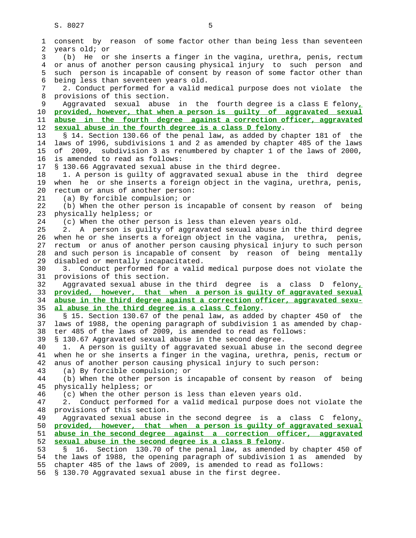| 1              | consent by reason of some factor other than being less than seventeen                                                         |
|----------------|-------------------------------------------------------------------------------------------------------------------------------|
| 2              | years old; or                                                                                                                 |
| 3              | (b) He or she inserts a finger in the vagina, urethra, penis, rectum                                                          |
| $\overline{4}$ | or anus of another person causing physical injury to such person and                                                          |
| 5              | such person is incapable of consent by reason of some factor other than                                                       |
| 6              | being less than seventeen years old.                                                                                          |
| 7              | 2. Conduct performed for a valid medical purpose does not violate the                                                         |
| 8              | provisions of this section.                                                                                                   |
| 9              | in the fourth degree is a class E felony,<br>Aggravated sexual<br>abuse                                                       |
| 10             | provided, however, that when a person is quilty of aggravated sexual                                                          |
| 11             | abuse in the fourth degree against a correction officer, aggravated                                                           |
| 12             | sexual abuse in the fourth degree is a class D felony.                                                                        |
| 13             | § 14. Section 130.66 of the penal law, as added by chapter 181 of the                                                         |
| 14             | laws of 1996, subdivisions 1 and 2 as amended by chapter 485 of the laws                                                      |
| 15             | of 2009, subdivision 3 as renumbered by chapter 1 of the laws of 2000,                                                        |
| 16             | is amended to read as follows:                                                                                                |
| 17             | § 130.66 Aggravated sexual abuse in the third degree.                                                                         |
| 18             | 1. A person is guilty of aggravated sexual abuse in the third degree                                                          |
| 19             | when he or she inserts a foreign object in the vagina, urethra, penis,                                                        |
| 20             | rectum or anus of another person:                                                                                             |
| 21             | (a) By forcible compulsion; or                                                                                                |
| 22             | (b) When the other person is incapable of consent by reason of being                                                          |
| 23             | physically helpless; or                                                                                                       |
| 24             | (c) When the other person is less than eleven years old.                                                                      |
| 25             | 2. A person is guilty of aggravated sexual abuse in the third degree                                                          |
| 26             | when he or she inserts a foreign object in the vagina, urethra, penis,                                                        |
| 27             | rectum or anus of another person causing physical injury to such person                                                       |
| 28             | and such person is incapable of consent by reason of being mentally                                                           |
| 29             | disabled or mentally incapacitated.                                                                                           |
| 30             | 3. Conduct performed for a valid medical purpose does not violate the                                                         |
| 31             | provisions of this section.                                                                                                   |
| 32             | Aggravated sexual abuse in the third degree is a class D felony,                                                              |
| 33             | provided, however, that when a person is guilty of aggravated sexual                                                          |
| 34<br>35       | abuse in the third degree against a correction officer, aggravated sexu-<br>al abuse in the third degree is a class C felony. |
| 36             | § 15. Section 130.67 of the penal law, as added by chapter 450 of the                                                         |
| 37             | laws of 1988, the opening paragraph of subdivision 1 as amended by chap-                                                      |
| 38             | ter 485 of the laws of 2009, is amended to read as follows:                                                                   |
| 39             | § 130.67 Aggravated sexual abuse in the second degree.                                                                        |
| 40             | A person is guilty of aggravated sexual abuse in the second degree                                                            |
| 41             | when he or she inserts a finger in the vagina, urethra, penis, rectum or                                                      |
| 42             | anus of another person causing physical injury to such person:                                                                |
| 43             | (a) By forcible compulsion; or                                                                                                |
| 44             | (b) When the other person is incapable of consent by reason of being                                                          |
| 45             | physically helpless; or                                                                                                       |
| 46             | (c) When the other person is less than eleven years old.                                                                      |
| 47             | Conduct performed for a valid medical purpose does not violate the<br>2.                                                      |
| 48             | provisions of this section.                                                                                                   |
| 49             | Aggravated sexual abuse in the second degree is a class C felony,                                                             |
| 50             | provided, however, that when a person is guilty of aggravated sexual                                                          |
| 51             | abuse in the second degree against a correction officer, aggravated                                                           |
| 52             | sexual abuse in the second degree is a class B felony.                                                                        |
| 53             | Section 130.70 of the penal law, as amended by chapter 450 of<br>Š.<br>16.                                                    |
| 54             | the laws of 1988, the opening paragraph of subdivision 1 as amended by                                                        |
| 55             | chapter 485 of the laws of 2009, is amended to read as follows:                                                               |
| 56             | § 130.70 Aggravated sexual abuse in the first degree.                                                                         |
|                |                                                                                                                               |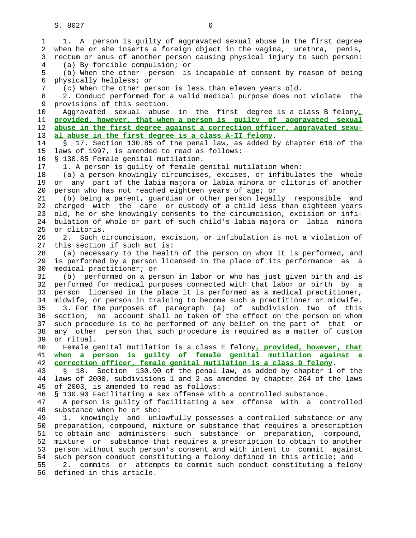1 1. A person is guilty of aggravated sexual abuse in the first degree 2 when he or she inserts a foreign object in the vagina, urethra, penis, 3 rectum or anus of another person causing physical injury to such person: 4 (a) By forcible compulsion; or 5 (b) When the other person is incapable of consent by reason of being 6 physically helpless; or 7 (c) When the other person is less than eleven years old. 8 2. Conduct performed for a valid medical purpose does not violate the 9 provisions of this section. 10 Aggravated sexual abuse in the first degree is a class B felony**,** 11 **provided, however, that when a person is guilty of aggravated sexual** 12 **abuse in the first degree against a correction officer, aggravated sexu-** 13 **al abuse in the first degree is a class A-II felony**. 14 § 17. Section 130.85 of the penal law, as added by chapter 618 of the 15 laws of 1997, is amended to read as follows: 16 § 130.85 Female genital mutilation. 17 1. A person is guilty of female genital mutilation when: 18 (a) a person knowingly circumcises, excises, or infibulates the whole 19 or any part of the labia majora or labia minora or clitoris of another 20 person who has not reached eighteen years of age; or 21 (b) being a parent, guardian or other person legally responsible and 22 charged with the care or custody of a child less than eighteen years 23 old, he or she knowingly consents to the circumcision, excision or infi- 24 bulation of whole or part of such child's labia majora or labia minora 25 or clitoris. 26 2. Such circumcision, excision, or infibulation is not a violation of 27 this section if such act is: 28 (a) necessary to the health of the person on whom it is performed, and 29 is performed by a person licensed in the place of its performance as a 30 medical practitioner; or 31 (b) performed on a person in labor or who has just given birth and is 32 performed for medical purposes connected with that labor or birth by a 33 person licensed in the place it is performed as a medical practitioner, 34 midwife, or person in training to become such a practitioner or midwife. 35 3. For the purposes of paragraph (a) of subdivision two of this 36 section, no account shall be taken of the effect on the person on whom 37 such procedure is to be performed of any belief on the part of that or 38 any other person that such procedure is required as a matter of custom 39 or ritual. 40 Female genital mutilation is a class E felony**, provided, however, that** 41 **when a person is guilty of female genital mutilation against a** 42 **correction officer, female genital mutilation is a class D felony**. 43 § 18. Section 130.90 of the penal law, as added by chapter 1 of the 44 laws of 2000, subdivisions 1 and 2 as amended by chapter 264 of the laws 45 of 2003, is amended to read as follows: 46 § 130.90 Facilitating a sex offense with a controlled substance. 47 A person is guilty of facilitating a sex offense with a controlled 48 substance when he or she: 49 1. knowingly and unlawfully possesses a controlled substance or any 50 preparation, compound, mixture or substance that requires a prescription 51 to obtain and administers such substance or preparation, compound, 52 mixture or substance that requires a prescription to obtain to another 53 person without such person's consent and with intent to commit against 54 such person conduct constituting a felony defined in this article; and 55 2. commits or attempts to commit such conduct constituting a felony 56 defined in this article.